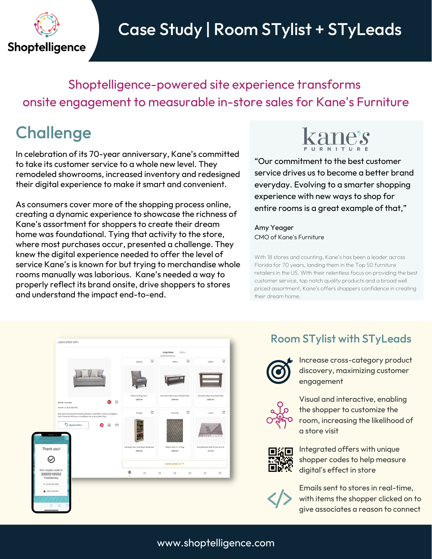

# Case Study | Room STylist + STyLeads

Shoptelligence-powered site experience transforms onsite engagement to measurable in-store sales for Kane's Furniture

## **Challenge**

In celebration of its 70-year anniversary, Kane's committed to take its customer service to a whole new level. They remodeled showrooms, increased inventory and redesigned their digital experience to make it smart and convenient.

As consumers cover more of the shopping process online, creating a dynamic experience to showcase the richness of Kane's assortment for shoppers to create their dream home was foundational. Tying that activity to the store, where most purchases occur, presented a challenge. They knew the digital experience needed to offer the level of service Kane's is known for but trying to merchandise whole rooms manually was laborious. Kane's needed a way to properly reflect its brand onsite, drive shoppers to stores and understand the impact end-to-end.



"Our commitment to the best customer service drives us to become a better brand everyday. Evolving to a smarter shopping experience with new ways to shop for entire rooms is a great example of that,"

Amy Yeager CMO of Kane's Furniture

With 18 stores and counting, Kane's has been a leader across Florida for 70 years, landing them in the Top 50 furniture retailers in the US. With their relentless focus on providing the best customer service, top notch quality products and a broad well priced assortment, Kane's offers shoppers confidence in creating their dream home.



### Room STylist with STyLeads



Increase cross-category product discovery, maximizing customer engagement



Visual and interactive, enabling the shopper to customize the room, increasing the likelihood of a store visit



Integrated offers with unique shopper codes to help measure digital's effect in store



Emails sent to stores in real-time, with items the shopper clicked on to give associates a reason to connect